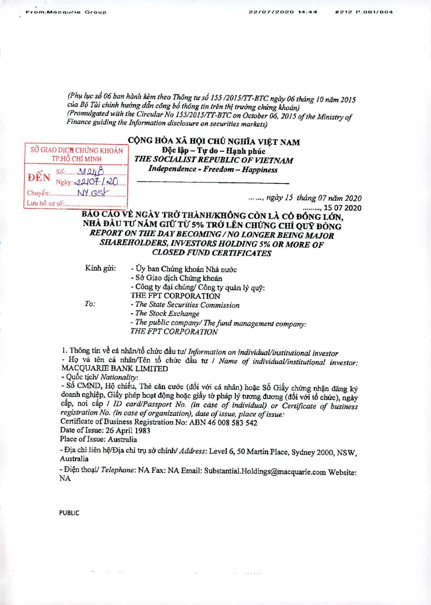(Phụ lục số 06 ban hành kèm theo Thông tư số 155/2015/TT-BTC ngày 06 tháng 10 năm 2015 của Bộ Tài chính hướng dẫn công bổ thông tin trên thị trường chứng khoán) (Promulgated with the Circular No 155/2015/TT-BTC on October 06, 2015 of the Ministry of Finance guiding the Information disclosure on securities markets)

|               | SỞ GIAO DỊCH CHỨNG KHOÁN<br>TP.HỐ CHÍ MINH | 7 |
|---------------|--------------------------------------------|---|
| ĐẾN           | 56: 31248.<br>Ngày: 22107/20               |   |
|               | $Chuyén$ : $\frac{NY}{GS}$                 |   |
| Lưu hồ sơ số: |                                            |   |

## CỘNG HÒA XÃ HỘI CHỦ NGHĨA VIỆT NAM Độc lập - Tư do - Hạnh phúc **THE SOCIALIST REPUBLIC OF VIETNAM** Independence - Freedom - Happiness

... ..., ngày 15 tháng 07 năm 2020 ........., 15 07 2020

BÁO CÁO VỀ NGÀY TRỞ THÀNH/KHÔNG CÒN LÀ CỎ ĐÔNG LỚN, NHÀ ĐẦU TƯ NĂM GIỮ TỪ 5% TRỞ LÊN CHỨNG CHỈ QUÝ ĐÓNG REPORT ON THE DAY BECOMING / NO LONGER BEING MAJOR **SHAREHOLDERS, INVESTORS HOLDING 5% OR MORE OF CLOSED FUND CERTIFICATES** 

Kính gửi:

- Ủy ban Chứng khoán Nhà nước
	- Sở Giao dịch Chứng khoán
	- Công ty đại chúng/ Công ty quản lý quỹ: THE FPT CORPORATION

 $To:$ 

- The State Securities Commission
	- The Stock Exchange

- The public company/ The fund management company: THE FPT CORPORATION

1. Thông tin về cá nhân/tổ chức đầu tư/ Information on individual/institutional investor

- Họ và tên cá nhân/Tên tổ chức đầu tư / Name of individual/institutional investor: MACQUARIE BANK LIMITED

- Quốc tịch/ Nationality:

- Số CMND, Hộ chiếu, Thẻ căn cước (đối với cá nhân) hoặc Số Giấy chứng nhận đăng ký doanh nghiệp, Giấy phép hoạt động hoặc giấy tờ pháp lý tương đương (đối với tổ chức), ngày câp, noi câp / ID card/Passport No. (in case of individual) or Certificate of business registration No. (in case of organization), date of issue, place of issue: Certificate of Business Registration No: ABN 46 008 583 542

Date of Issue: 26 April 1983

Place of Issue: Australia

- Địa chỉ liên hệ/Địa chỉ trụ sở chính/ Address: Level 6, 50 Martin Place, Sydney 2000, NSW, Australia

- Điện thoại/ Telephone: NA Fax: NA Email: Substantial.Holdings@macquarie.com Website: NA

**PUBLIC**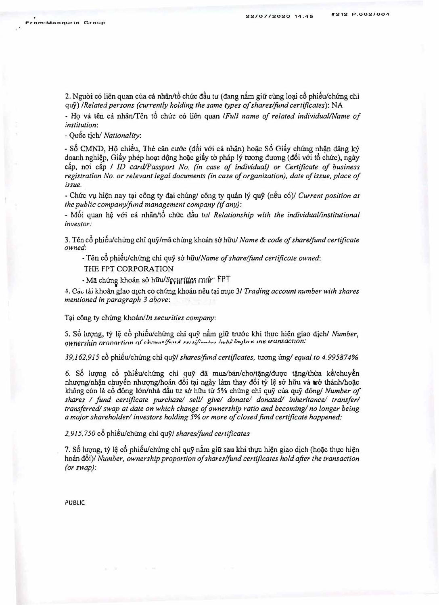2. Nguoi co lien quan cua ca nhan/t6 chuc *d�u tu* (ctang *nfun* g.iu cung *lo�* c6 phi6u/chimg *chl* quy) */Related persons (currently holding the same types of shares/fund certificates):* NA

- Ho và tên cá nhân/Tên tổ chức có liên quan */Full name of related individual/Name of institution:*

*- Qu&* ticb/ *Nationality:*

- Số CMND, Hộ chiều, Thẻ căn cước (đối với cá nhân) hoặc Số Giấy chứng nhận đăng ký doanh nghi�p, Gi§y phep ho�t dong *ho�c giiy to* phAp ly tuong ducmg (d6i v6i t6 *chirc),* ngay câp, noi câp / *ID card/Passport No. (in case of individual) or Certificate of business registration No. or relevant legal documents (in case of organization), date of issue, place of issue.*

*- Chuc V\l* hi9n *nay t�i* cong *ty �i* chung/ cong *ty* quan ly quy (n6u c6)/ *Current position a, the public companylfimd management company (if any):*

- Mối quan hệ với cá nhân/tổ chức đầu tư/ *Relationship with the individual/institutional investor:*

3. Tên cổ phiếu/chưng chỉ quỹ/mã chứng khoán sở hữu/ *Name & code of share/fund certificate owned:*

- Tên cổ phiếu/chứng chi quỹ sở hữu/Name of share/fund certificate owned:

THE FPT CORPORATION

- Mã chứng khoán sở hữu/Securities *finde* FPT

4. Các tài khoản giao a1ch cò chứng khoán nêu tại mục 3/ *Trading account number with shares mentioned in paragraph 3 above:* 

Tại công ty chứng khoán/In securities company:

5. S6 *hrqng, ty 1�* cb phiSu/cbung chi quy nb. giii truoc khi *thvc* hi�n giao djch/ *Number, Q)fnershin nrnnnrtinn r}r rhn·>innt+;,..,1 �., ... ,:/:--,•�.., 1 .. ,1',.' l,c:.1!J1* t: "'� *,runsacnon:*

*39,162,915* c6 phi€u/chung chi qu5'/ *shares/fund certificates,* tucmg *ungl equal to 4.995874%*

6. Số lượng cổ phiếu/chứng chi quỹ dã mua/bán/cho/tặng/được tặng/thừa kế/chuyển *nhtrQng/nh�* cbuyen nhuqng/hoan d6i t{li ngay *I.am* thay doi *ty* 1� *SCI* hiiu va *tr&* thanh/ho�c khong con la c6 dong l6n/nha dau *tU'* so hfru *tu 5%* chung chi quy cua quy d6ng/ *Number of shares I fund certificate pwchasel sell/ give/ donate/ donated/ inheritance/ transfer/ transferred/ swap at date on which change of ownership ratio and becoming/ no longer being a major shareholder/ investors holding 5% or more of closed fund certificate happened:* 

*2,915,750* c6 phiSu/chung chi quy/ *shares/fund certificates* 

7. Số lượng, tỷ lệ cổ phiếu/chứng chỉ quỹ nắm giữ sau khi thực hiện giao dịch (hoặc thực hiện hoan d6i)/ *Number, ownership proportion of shares/fund certificates hold after the transaction (or swap):*

PUBLIC